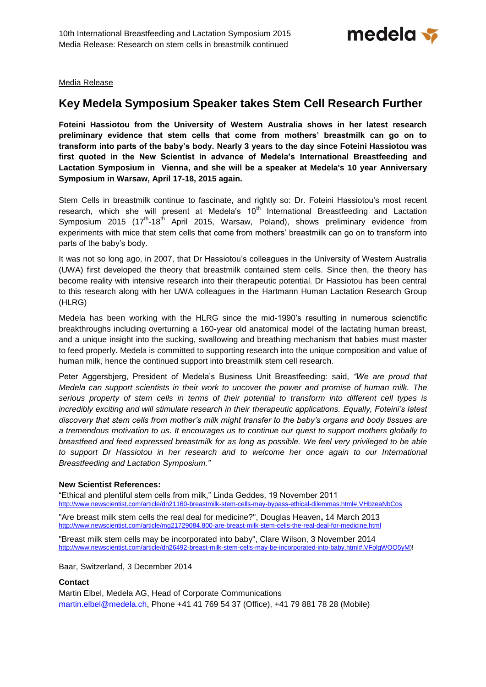

Media Release

# **Key Medela Symposium Speaker takes Stem Cell Research Further**

**Foteini Hassiotou from the University of Western Australia shows in her latest research preliminary evidence that stem cells that come from mothers' breastmilk can go on to transform into parts of the baby's body. Nearly 3 years to the day since Foteini Hassiotou was first quoted in the New Scientist in advance of Medela's International Breastfeeding and Lactation Symposium in Vienna, and she will be a speaker at Medela's 10 year Anniversary Symposium in Warsaw, April 17-18, 2015 again.**

Stem Cells in breastmilk continue to fascinate, and rightly so: Dr. Foteini Hassiotou's most recent research, which she will present at Medela's  $10<sup>th</sup>$  International Breastfeeding and Lactation Symposium 2015 (17<sup>th</sup>-18<sup>th</sup> April 2015, Warsaw, Poland), shows preliminary evidence from experiments with mice that stem cells that come from mothers' breastmilk can go on to transform into parts of the baby's body.

It was not so long ago, in 2007, that Dr Hassiotou's colleagues in the University of Western Australia (UWA) first developed the theory that breastmilk contained stem cells. Since then, the theory has become reality with intensive research into their therapeutic potential. Dr Hassiotou has been central to this research along with her UWA colleagues in the Hartmann Human Lactation Research Group (HLRG)

Medela has been working with the HLRG since the mid-1990's resulting in numerous scienctific breakthroughs including overturning a 160-year old anatomical model of the lactating human breast, and a unique insight into the sucking, swallowing and breathing mechanism that babies must master to feed properly. Medela is committed to supporting research into the unique composition and value of human milk, hence the continued support into breastmilk stem cell research.

Peter Aggersbjerg, President of Medela's Business Unit Breastfeeding: said, *"We are proud that Medela can support scientists in their work to uncover the power and promise of human milk. The serious property of stem cells in terms of their potential to transform into different cell types is incredibly exciting and will stimulate research in their therapeutic applications. Equally, Foteini's latest discovery that stem cells from mother's milk might transfer to the baby's organs and body tissues are a tremendous motivation to us. It encourages us to continue our quest to support mothers globally to breastfeed and feed expressed breastmilk for as long as possible. We feel very privileged to be able to support Dr Hassiotou in her research and to welcome her once again to our International Breastfeeding and Lactation Symposium."*

## **New Scientist References:**

"Ethical and plentiful stem cells from milk," Linda Geddes, 19 November 2011 <http://www.newscientist.com/article/dn21160-breastmilk-stem-cells-may-bypass-ethical-dilemmas.html#.VHbzeaNbCos>

"Are breast milk stem cells the real deal for medicine?", Douglas Heaven**,** 14 March 2013 <http://www.newscientist.com/article/mg21729084.800-are-breast-milk-stem-cells-the-real-deal-for-medicine.html>

"Breast milk stem cells may be incorporated into baby", Clare Wilson, 3 November 2014 [http://www.newscientist.com/article/dn26492-breast-milk-stem-cells-may-be-incorporated-into-baby.html#.VFolgWOO5yM\)](http://www.newscientist.com/article/dn26492-breast-milk-stem-cells-may-be-incorporated-into-baby.html#.VFolgWOO5yM)!

Baar, Switzerland, 3 December 2014

## **Contact**

Martin Elbel, Medela AG, Head of Corporate Communications [martin.elbel@medela.ch,](mailto:martin.elbel@medela.ch) Phone +41 41 769 54 37 (Office), +41 79 881 78 28 (Mobile)